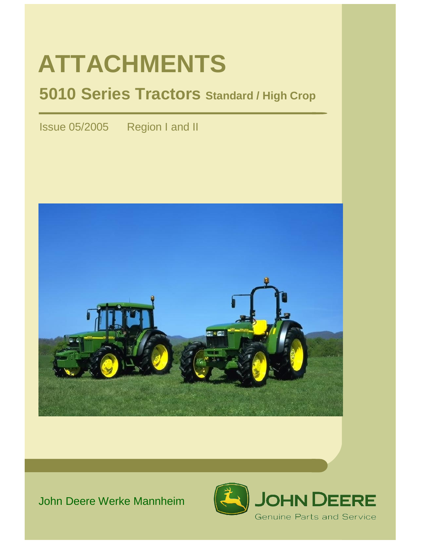# **ATTACHMENTS**

## **5010 Series Tractors Standard / High Crop**

Issue 05/2005 Region I and II



## John Deere Werke Mannheim

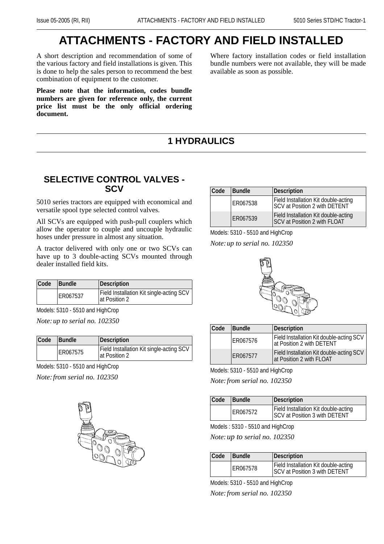## **ATTACHMENTS - FACTORY AND FIELD INSTALLED**

A short description and recommendation of some of the various factory and field installations is given. This is done to help the sales person to recommend the best combination of equipment to the customer.

**Please note that the information, codes bundle numbers are given for reference only, the current price list must be the only official ordering document.**

Where factory installation codes or field installation bundle numbers were not available, they will be made available as soon as possible.

## **1 HYDRAULICS**

#### **SELECTIVE CONTROL VALVES - SCV**

5010 series tractors are equipped with economical and versatile spool type selected control valves.

All SCVs are equipped with push-pull couplers which allow the operator to couple and uncouple hydraulic hoses under pressure in almost any situation.

A tractor delivered with only one or two SCVs can have up to 3 double-acting SCVs mounted through dealer installed field kits.

| Code | Bundle   | Description                                                |
|------|----------|------------------------------------------------------------|
|      | ER067537 | Field Installation Kit single-acting SCV<br>lat Position 2 |

Models: 5310 - 5510 and HighCrop

*Note:up to serial no. 102350*

| Code | Bundle   | Description                                               |
|------|----------|-----------------------------------------------------------|
|      | ER067575 | Field Installation Kit single-acting SCV<br>at Position 2 |

Models: 5310 - 5510 and HighCrop

*Note:from serial no. 102350*



| Code | <b>Bundle</b> | Description                                                                 |
|------|---------------|-----------------------------------------------------------------------------|
|      | ER067538      | Field Installation Kit double-acting<br>SCV at Position 2 with DETENT       |
|      | ER067539      | Field Installation Kit double-acting<br><b>SCV at Position 2 with FLOAT</b> |

Models: 5310 - 5510 and HighCrop

*Note:up to serial no. 102350*



| Code | Bundle   | Description                                                           |
|------|----------|-----------------------------------------------------------------------|
|      | ER067576 | Field Installation Kit double-acting SCV<br>at Position 2 with DETENT |
|      | ER067577 | Field Installation Kit double-acting SCV<br>at Position 2 with FLOAT  |

Models: 5310 - 5510 and HighCrop

*Note:from serial no. 102350*

| Code | Bundle   | Description                                                                  |
|------|----------|------------------------------------------------------------------------------|
|      | ER067572 | Field Installation Kit double-acting<br><b>SCV at Position 3 with DETENT</b> |

Models : 5310 - 5510 and HighCrop

*Note:up to serial no. 102350*

| Code | <b>Bundle</b> | Description                                                                  |
|------|---------------|------------------------------------------------------------------------------|
|      | ER067578      | Field Installation Kit double-acting<br><b>SCV at Position 3 with DETENT</b> |

Models: 5310 - 5510 and HighCrop

*Note:from serial no. 102350*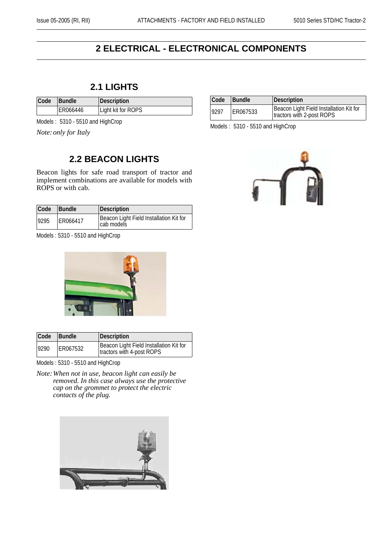## **2 ELECTRICAL - ELECTRONICAL COMPONENTS**

#### **2.1 LIGHTS**

| Code | <b>Bundle</b> | Description        |
|------|---------------|--------------------|
|      | ER066446      | Light kit for ROPS |

Models : 5310 - 5510 and HighCrop

*Note:only for Italy*

#### **2.2 BEACON LIGHTS**

Beacon lights for safe road transport of tractor and implement combinations are available for models with ROPS or with cab.

| Code | Bundle   | Description                                           |
|------|----------|-------------------------------------------------------|
| 9295 | ER066417 | Beacon Light Field Installation Kit for<br>cab models |

Models : 5310 - 5510 and HighCrop



| Code | <b>Bundle</b> | Description                                                          |
|------|---------------|----------------------------------------------------------------------|
| 9290 | ER067532      | Beacon Light Field Installation Kit for<br>tractors with 4-post ROPS |

Models : 5310 - 5510 and HighCrop

*Note:When not in use, beacon light can easily be removed. In this case always use the protective cap on the grommet to protect the electric contacts of the plug.*



| Code | <b>Bundle</b> | Description                                                          |
|------|---------------|----------------------------------------------------------------------|
| 9297 | ER067533      | Beacon Light Field Installation Kit for<br>tractors with 2-post ROPS |

Models : 5310 - 5510 and HighCrop

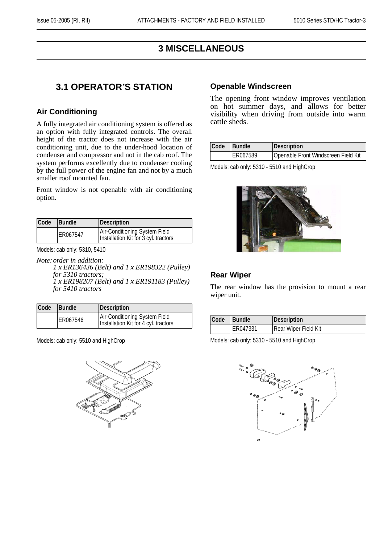#### **3 MISCELLANEOUS**

#### **3.1 OPERATOR'S STATION**

#### **Air Conditioning**

A fully integrated air conditioning system is offered as an option with fully integrated controls. The overall height of the tractor does not increase with the air conditioning unit, due to the under-hood location of condenser and compressor and not in the cab roof. The system performs excellently due to condenser cooling by the full power of the engine fan and not by a much smaller roof mounted fan.

Front window is not openable with air conditioning option.

| Code | <b>Bundle</b> | Description                                                           |
|------|---------------|-----------------------------------------------------------------------|
|      | ER067547      | Air-Conditioning System Field<br>Installation Kit for 3 cyl. tractors |

Models: cab only: 5310, 5410

*Note:order in addition: 1 x ER136436 (Belt) and 1 x ER198322 (Pulley) for 5310 tractors; 1 x ER198207 (Belt) and 1 x ER191183 (Pulley) for 5410 tractors*

| Code | Bundle   | Description                                                           |
|------|----------|-----------------------------------------------------------------------|
|      | ER067546 | Air-Conditioning System Field<br>Installation Kit for 4 cyl. tractors |

Models: cab only: 5510 and HighCrop



#### **Openable Windscreen**

The opening front window improves ventilation on hot summer days, and allows for better visibility when driving from outside into warm cattle sheds.

| Code | <b>Bundle</b> | Description                         |
|------|---------------|-------------------------------------|
|      | ER067589      | Openable Front Windscreen Field Kit |

Models: cab only: 5310 - 5510 and HighCrop



#### **Rear Wiper**

The rear window has the provision to mount a rear wiper unit.

| Code | <b>Bundle</b> | Description          |
|------|---------------|----------------------|
|      | ER047331      | Rear Wiper Field Kit |

Models: cab only: 5310 - 5510 and HighCrop

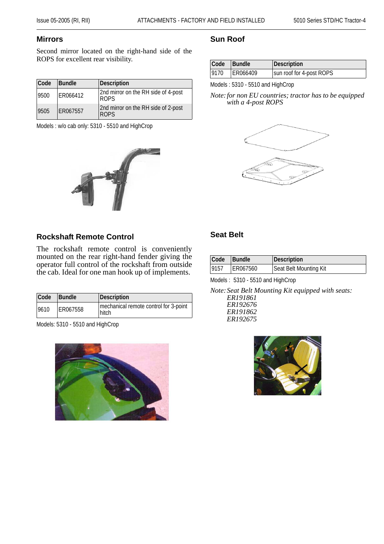#### **Mirrors**

Second mirror located on the right-hand side of the ROPS for excellent rear visibility.

| Code | Bundle   | Description                                        |
|------|----------|----------------------------------------------------|
| 9500 | ER066412 | 2nd mirror on the RH side of 4-post<br><b>ROPS</b> |
| 9505 | ER067557 | 2nd mirror on the RH side of 2-post<br><b>ROPS</b> |

Models : w/o cab only: 5310 - 5510 and HighCrop



#### **Rockshaft Remote Control**

The rockshaft remote control is conveniently mounted on the rear right-hand fender giving the operator full control of the rockshaft from outside the cab. Ideal for one man hook up of implements.

| Code | Bundle   | Description                                    |
|------|----------|------------------------------------------------|
| 9610 | ER067558 | mechanical remote control for 3-point<br>hitch |

Models: 5310 - 5510 and HighCrop



#### **Sun Roof**

| Code Bundle |          | Description              |
|-------------|----------|--------------------------|
| 9170        | ER066409 | sun roof for 4-post ROPS |

Models : 5310 - 5510 and HighCrop

*Note:for non EU countries; tractor has to be equipped with a 4-post ROPS*



#### **Seat Belt**

| <b>Code</b> | <b>Bundle</b>   | Description            |
|-------------|-----------------|------------------------|
| 9157        | <b>ER067560</b> | Seat Belt Mounting Kit |

Models : 5310 - 5510 and HighCrop

*Note:Seat Belt Mounting Kit equipped with seats: ER191861 ER192676 ER191862*

*ER192675*

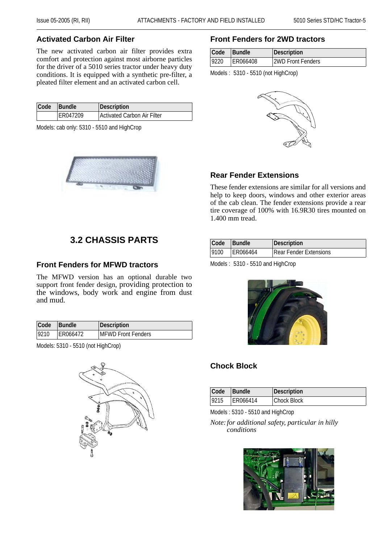#### **Activated Carbon Air Filter**

The new activated carbon air filter provides extra comfort and protection against most airborne particles for the driver of a 5010 series tractor under heavy duty conditions. It is equipped with a synthetic pre-filter, a pleated filter element and an activated carbon cell.

| Code | Bundle   | Description                 |
|------|----------|-----------------------------|
|      | ER047209 | Activated Carbon Air Filter |

Models: cab only: 5310 - 5510 and HighCrop



## **3.2 CHASSIS PARTS**

#### **Front Fenders for MFWD tractors**

The MFWD version has an optional durable two support front fender design, providing protection to the windows, body work and engine from dust and mud.

| <b>Code</b> | <b>Bundle</b> | Description                |
|-------------|---------------|----------------------------|
| 9210        | ER066472      | <b>IMFWD Front Fenders</b> |

Models: 5310 - 5510 (not HighCrop)



#### **Front Fenders for 2WD tractors**

| Code | Bundle   | <b>Description</b>       |
|------|----------|--------------------------|
| 9220 | ER066408 | <b>2WD Front Fenders</b> |

Models : 5310 - 5510 (not HighCrop)



#### **Rear Fender Extensions**

These fender extensions are similar for all versions and help to keep doors, windows and other exterior areas of the cab clean. The fender extensions provide a rear tire coverage of 100% with 16.9R30 tires mounted on 1.400 mm tread.

| Code  | <b>Bundle</b> | Description            |
|-------|---------------|------------------------|
| 19100 | ER066464      | Rear Fender Extensions |

Models : 5310 - 5510 and HighCrop



#### **Chock Block**

| Code | <b>Bundle</b> | Description        |
|------|---------------|--------------------|
| 9215 | ER066414      | <b>Chock Block</b> |

Models : 5310 - 5510 and HighCrop

*Note:for additional safety, particular in hilly conditions*

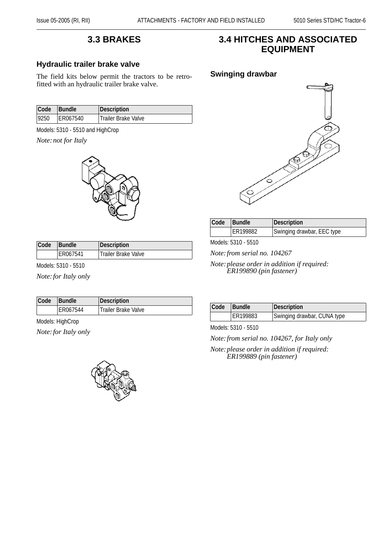#### **3.3 BRAKES**

#### **Hydraulic trailer brake valve**

The field kits below permit the tractors to be retrofitted with an hydraulic trailer brake valve.

| Code | <b>Bundle</b> | Description         |
|------|---------------|---------------------|
| 9250 | ER067540      | Trailer Brake Valve |

Models: 5310 - 5510 and HighCrop

*Note:not for Italy*



| Code<br><b>Bundle</b> |          | Description                      |  |
|-----------------------|----------|----------------------------------|--|
|                       | ER067541 | <sup>1</sup> Trailer Brake Valve |  |

Models: 5310 - 5510

*Note:for Italy only*

| Code | <b>Bundle</b> | Description                      |
|------|---------------|----------------------------------|
|      | ER067544      | <sup>1</sup> Trailer Brake Valve |

Models: HighCrop

*Note:for Italy only*



#### **3.4 HITCHES AND ASSOCIATED EQUIPMENT**



| <b>Code</b> | <b>Bundle</b> | Description                |
|-------------|---------------|----------------------------|
|             | ER199882      | Swinging drawbar, EEC type |

Models: 5310 - 5510

*Note:from serial no. 104267*

*Note:please order in addition if required: ER199890 (pin fastener)*

| Code | <b>Bundle</b> | Description                 |
|------|---------------|-----------------------------|
|      | ER199883      | Swinging drawbar, CUNA type |

Models: 5310 - 5510

*Note:from serial no. 104267, for Italy only*

*Note:please order in addition if required: ER199889 (pin fastener)*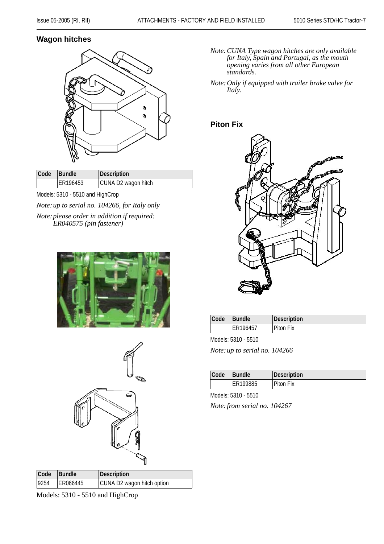#### **Wagon hitches**



| Code Bundle |          | Description         |
|-------------|----------|---------------------|
|             | ER196453 | CUNA D2 wagon hitch |

Models: 5310 - 5510 and HighCrop

*Note:up to serial no. 104266, for Italy only Note:please order in addition if required: ER040575 (pin fastener)*





| Code Bundle |          | Description                |
|-------------|----------|----------------------------|
| 9254        | ER066445 | CUNA D2 wagon hitch option |

Models: 5310 - 5510 and HighCrop

- *Note:CUNA Type wagon hitches are only available for Italy, Spain and Portugal, as the mouth opening varies from all other European standards.*
- *Note:Only if equipped with trailer brake valve for Italy.*

#### **Piton Fix**



| Code | Bundle   | Description |
|------|----------|-------------|
|      | ER196457 | Piton Fix   |

Models: 5310 - 5510

*Note:up to serial no. 104266*

| Code | <b>Bundle</b> | Description |
|------|---------------|-------------|
|      | ER199885      | Piton Fix   |

Models: 5310 - 5510

*Note:from serial no. 104267*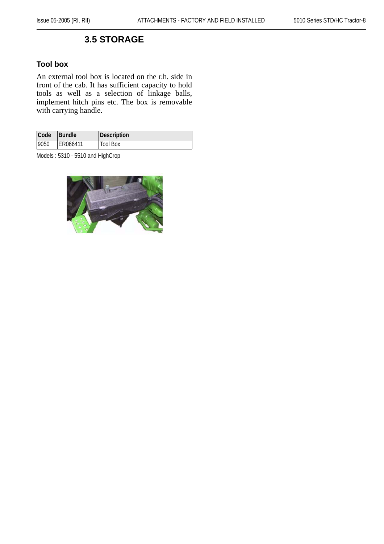#### **3.5 STORAGE**

#### **Tool box**

An external tool box is located on the r.h. side in front of the cab. It has sufficient capacity to hold tools as well as a selection of linkage balls, implement hitch pins etc. The box is removable with carrying handle.

| Code | <b>Bundle</b> | Description     |
|------|---------------|-----------------|
| 9050 | ER066411      | <b>Tool Box</b> |

Models : 5310 - 5510 and HighCrop